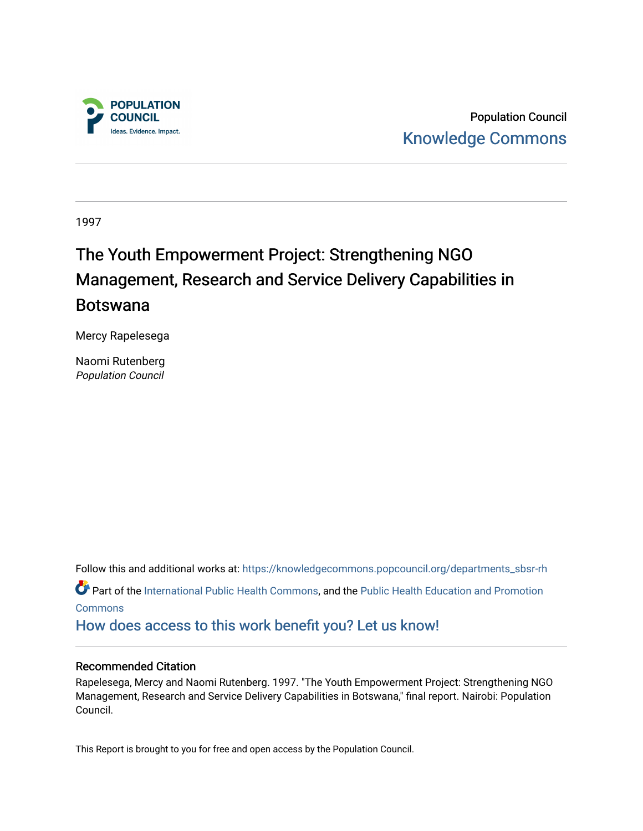

Population Council [Knowledge Commons](https://knowledgecommons.popcouncil.org/) 

1997

## The Youth Empowerment Project: Strengthening NGO Management, Research and Service Delivery Capabilities in Botswana

Mercy Rapelesega

Naomi Rutenberg Population Council

Follow this and additional works at: [https://knowledgecommons.popcouncil.org/departments\\_sbsr-rh](https://knowledgecommons.popcouncil.org/departments_sbsr-rh?utm_source=knowledgecommons.popcouncil.org%2Fdepartments_sbsr-rh%2F1955&utm_medium=PDF&utm_campaign=PDFCoverPages)  Part of the [International Public Health Commons](https://network.bepress.com/hgg/discipline/746?utm_source=knowledgecommons.popcouncil.org%2Fdepartments_sbsr-rh%2F1955&utm_medium=PDF&utm_campaign=PDFCoverPages), and the [Public Health Education and Promotion](https://network.bepress.com/hgg/discipline/743?utm_source=knowledgecommons.popcouncil.org%2Fdepartments_sbsr-rh%2F1955&utm_medium=PDF&utm_campaign=PDFCoverPages) [Commons](https://network.bepress.com/hgg/discipline/743?utm_source=knowledgecommons.popcouncil.org%2Fdepartments_sbsr-rh%2F1955&utm_medium=PDF&utm_campaign=PDFCoverPages) [How does access to this work benefit you? Let us know!](https://pcouncil.wufoo.com/forms/open-access-to-population-council-research/)

#### Recommended Citation

Rapelesega, Mercy and Naomi Rutenberg. 1997. "The Youth Empowerment Project: Strengthening NGO Management, Research and Service Delivery Capabilities in Botswana," final report. Nairobi: Population Council.

This Report is brought to you for free and open access by the Population Council.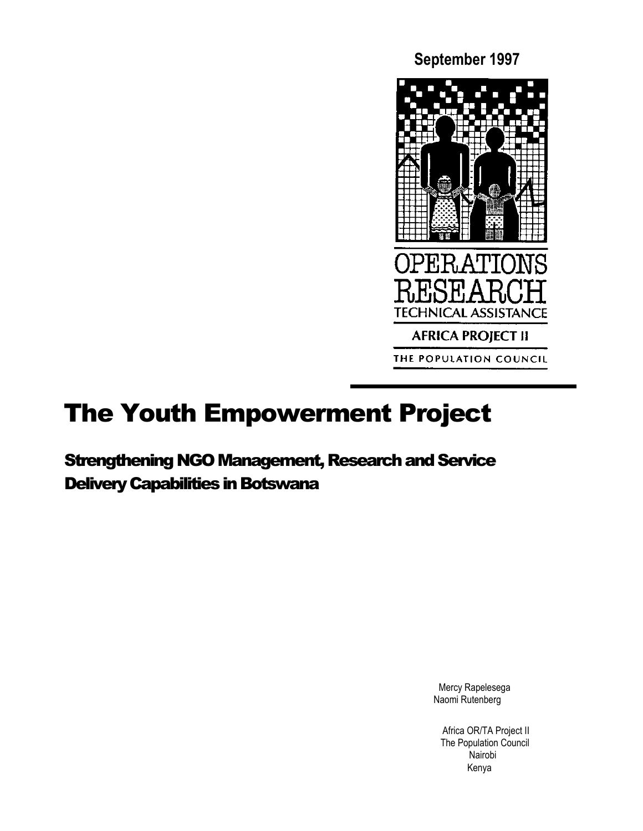**September 1997**



# The Youth Empowerment Project

Strengthening NGO Management, Research and Service Delivery Capabilities in Botswana

> Mercy Rapelesega Naomi Rutenberg

Africa OR/TA Project II The Population Council Nairobi Kenya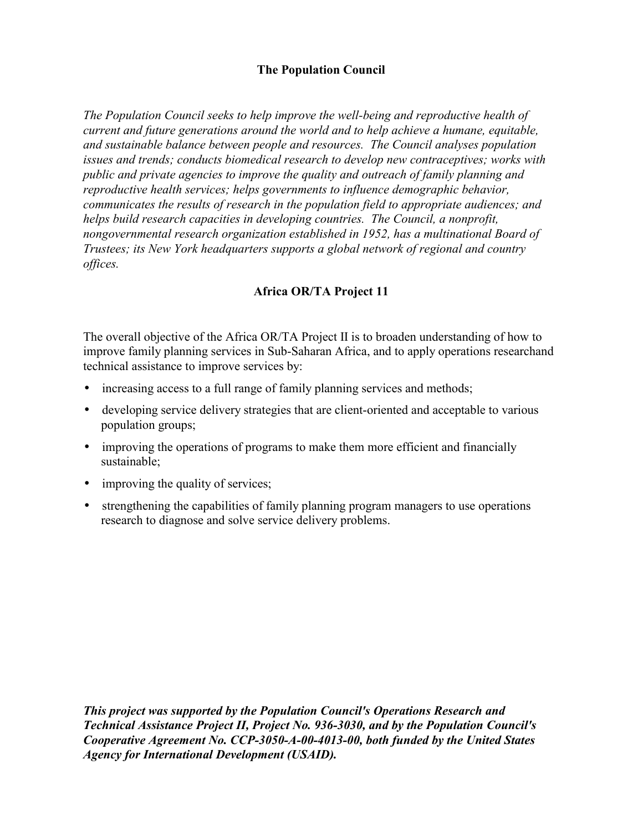#### **The Population Council**

*The Population Council seeks to help improve the well-being and reproductive health of current and future generations around the world and to help achieve a humane, equitable, and sustainable balance between people and resources. The Council analyses population issues and trends; conducts biomedical research to develop new contraceptives; works with public and private agencies to improve the quality and outreach of family planning and reproductive health services; helps governments to influence demographic behavior, communicates the results of research in the population field to appropriate audiences; and helps build research capacities in developing countries. The Council, a nonprofit, nongovernmental research organization established in 1952, has a multinational Board of Trustees; its New York headquarters supports a global network of regional and country offices.*

#### **Africa OR/TA Project 11**

The overall objective of the Africa OR/TA Project II is to broaden understanding of how to improve family planning services in Sub-Saharan Africa, and to apply operations researchand technical assistance to improve services by:

- increasing access to a full range of family planning services and methods;
- developing service delivery strategies that are client-oriented and acceptable to various population groups;
- improving the operations of programs to make them more efficient and financially sustainable;
- improving the quality of services;
- strengthening the capabilities of family planning program managers to use operations research to diagnose and solve service delivery problems.

*This project was supported by the Population Council's Operations Research and Technical Assistance Project II, Project No. 936-3030, and by the Population Council's Cooperative Agreement No. CCP-3050-A-00-4013-00, both funded by the United States Agency for International Development (USAID).*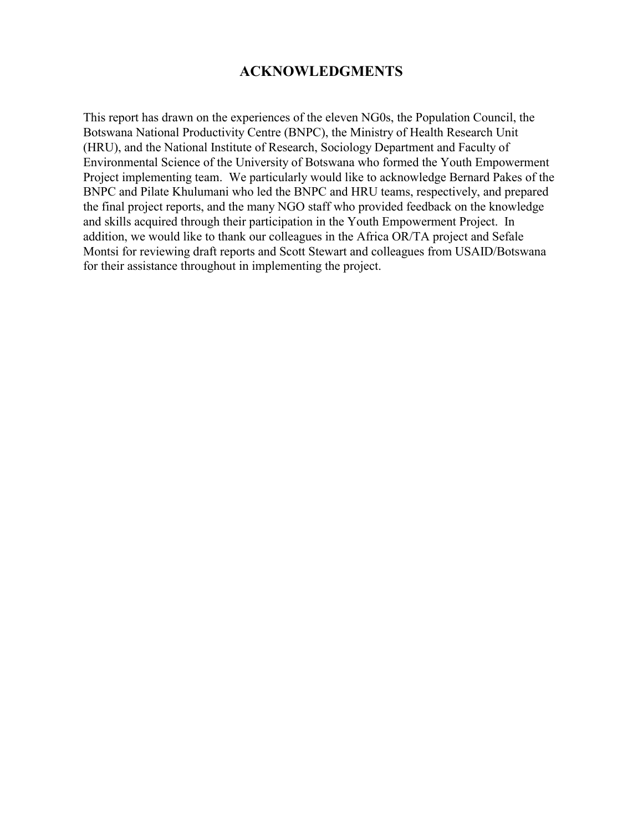#### **ACKNOWLEDGMENTS**

This report has drawn on the experiences of the eleven NG0s, the Population Council, the Botswana National Productivity Centre (BNPC), the Ministry of Health Research Unit (HRU), and the National Institute of Research, Sociology Department and Faculty of Environmental Science of the University of Botswana who formed the Youth Empowerment Project implementing team. We particularly would like to acknowledge Bernard Pakes of the BNPC and Pilate Khulumani who led the BNPC and HRU teams, respectively, and prepared the final project reports, and the many NGO staff who provided feedback on the knowledge and skills acquired through their participation in the Youth Empowerment Project. In addition, we would like to thank our colleagues in the Africa OR/TA project and Sefale Montsi for reviewing draft reports and Scott Stewart and colleagues from USAID/Botswana for their assistance throughout in implementing the project.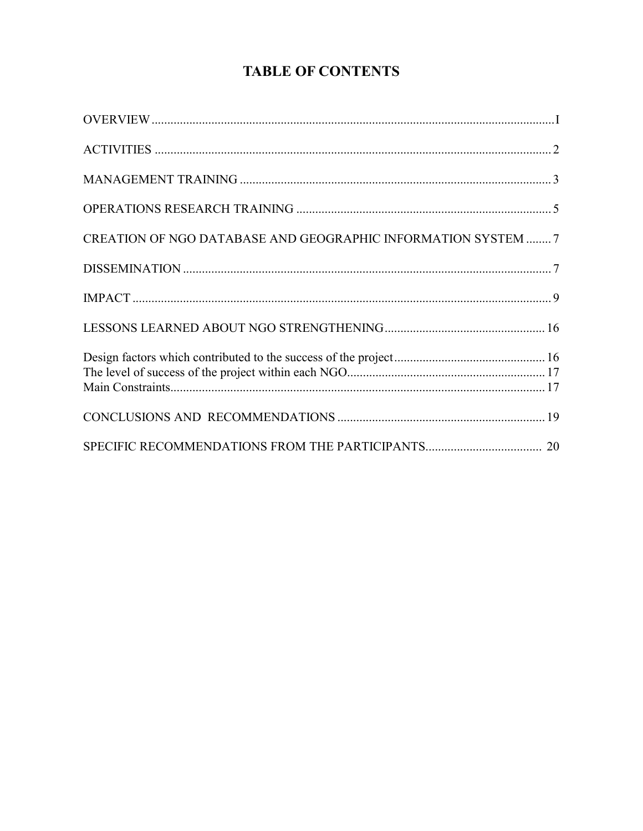## **TABLE OF CONTENTS**

| CREATION OF NGO DATABASE AND GEOGRAPHIC INFORMATION SYSTEM 7 |  |
|--------------------------------------------------------------|--|
|                                                              |  |
|                                                              |  |
|                                                              |  |
|                                                              |  |
|                                                              |  |
|                                                              |  |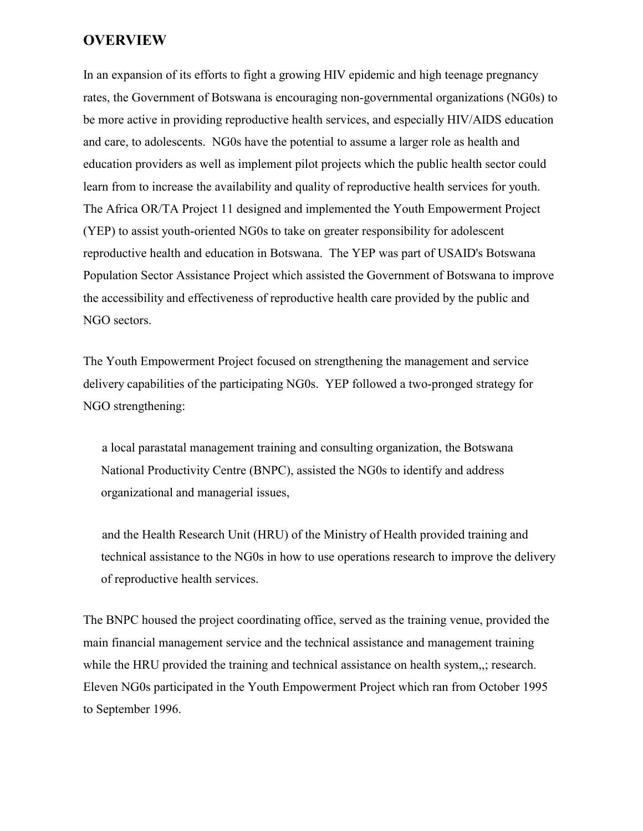#### **OVERVIEW**

In an expansion of its efforts to fight a growing HIV epidemic and high teenage pregnancy rates, the Government of Botswana is encouraging non-governmental organizations (NG0s) to be more active in providing reproductive health services, and especially HIV/AIDS education and care, to adolescents. NG0s have the potential to assume a larger role as health and education providers as well as implement pilot projects which the public health sector could learn from to increase the availability and quality of reproductive health services for youth. The Africa OR/TA Project 11 designed and implemented the Youth Empowerment Project (YEP) to assist youth-oriented NG0s to take on greater responsibility for adolescent reproductive health and education in Botswana. The YEP was part of USAID's Botswana Population Sector Assistance Project which assisted the Government of Botswana to improve the accessibility and effectiveness of reproductive health care provided by the public and NGO sectors.

The Youth Empowerment Project focused on strengthening the management and service delivery capabilities of the participating NG0s. YEP followed a two-pronged strategy for NGO strengthening:

a local parastatal management training and consulting organization, the Botswana National Productivity Centre (BNPC), assisted the NG0s to identify and address organizational and managerial issues,

and the Health Research Unit (HRU) of the Ministry of Health provided training and technical assistance to the NG0s in how to use operations research to improve the delivery of reproductive health services.

The BNPC housed the project coordinating office, served as the training venue, provided the main financial management service and the technical assistance and management training while the HRU provided the training and technical assistance on health system,,; research. Eleven NG0s participated in the Youth Empowerment Project which ran from October 1995 to September 1996.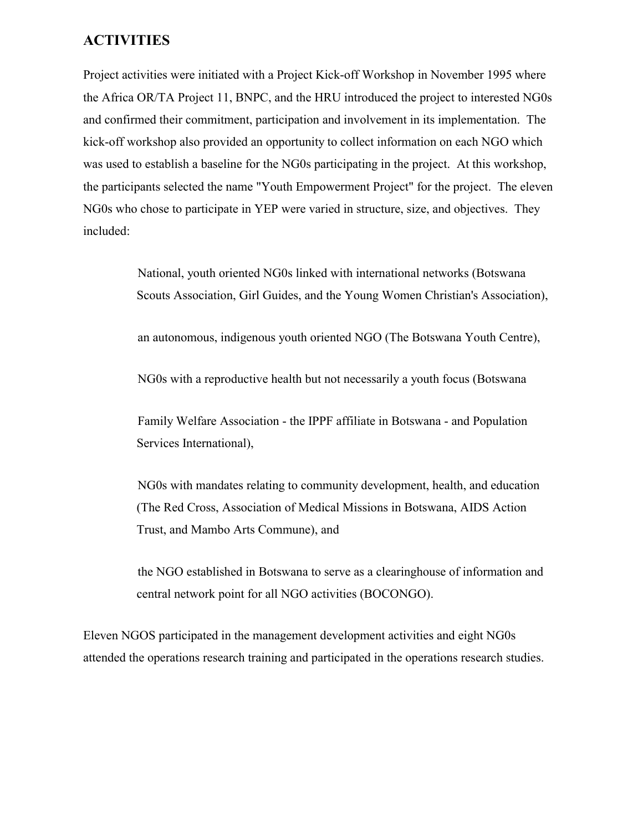#### **ACTIVITIES**

Project activities were initiated with a Project Kick-off Workshop in November 1995 where the Africa OR/TA Project 11, BNPC, and the HRU introduced the project to interested NG0s and confirmed their commitment, participation and involvement in its implementation. The kick-off workshop also provided an opportunity to collect information on each NGO which was used to establish a baseline for the NG0s participating in the project. At this workshop, the participants selected the name "Youth Empowerment Project" for the project. The eleven NG0s who chose to participate in YEP were varied in structure, size, and objectives. They included:

> National, youth oriented NG0s linked with international networks (Botswana Scouts Association, Girl Guides, and the Young Women Christian's Association),

an autonomous, indigenous youth oriented NGO (The Botswana Youth Centre),

NG0s with a reproductive health but not necessarily a youth focus (Botswana

Family Welfare Association - the IPPF affiliate in Botswana - and Population Services International),

NG0s with mandates relating to community development, health, and education (The Red Cross, Association of Medical Missions in Botswana, AIDS Action Trust, and Mambo Arts Commune), and

the NGO established in Botswana to serve as a clearinghouse of information and central network point for all NGO activities (BOCONGO).

Eleven NGOS participated in the management development activities and eight NG0s attended the operations research training and participated in the operations research studies.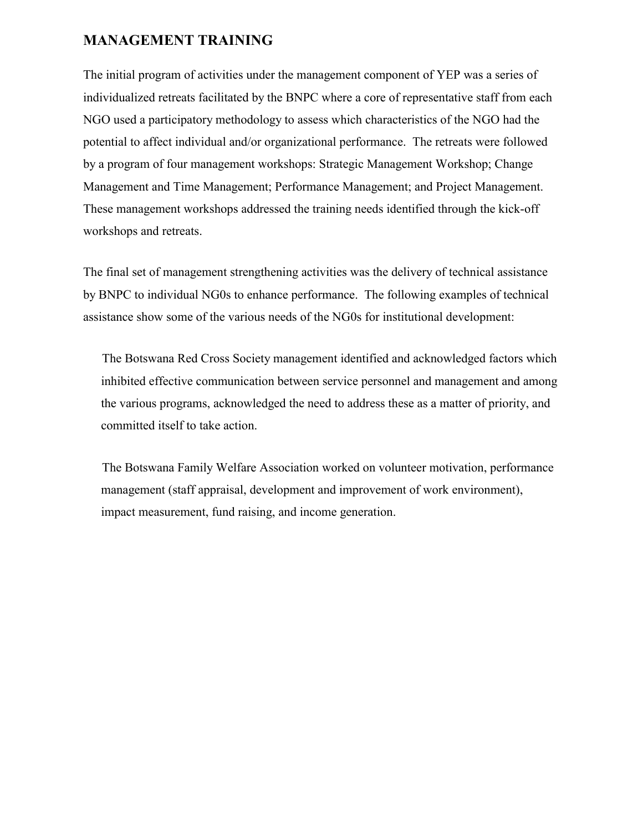#### **MANAGEMENT TRAINING**

The initial program of activities under the management component of YEP was a series of individualized retreats facilitated by the BNPC where a core of representative staff from each NGO used a participatory methodology to assess which characteristics of the NGO had the potential to affect individual and/or organizational performance. The retreats were followed by a program of four management workshops: Strategic Management Workshop; Change Management and Time Management; Performance Management; and Project Management. These management workshops addressed the training needs identified through the kick-off workshops and retreats.

The final set of management strengthening activities was the delivery of technical assistance by BNPC to individual NG0s to enhance performance. The following examples of technical assistance show some of the various needs of the NG0s for institutional development:

The Botswana Red Cross Society management identified and acknowledged factors which inhibited effective communication between service personnel and management and among the various programs, acknowledged the need to address these as a matter of priority, and committed itself to take action.

The Botswana Family Welfare Association worked on volunteer motivation, performance management (staff appraisal, development and improvement of work environment), impact measurement, fund raising, and income generation.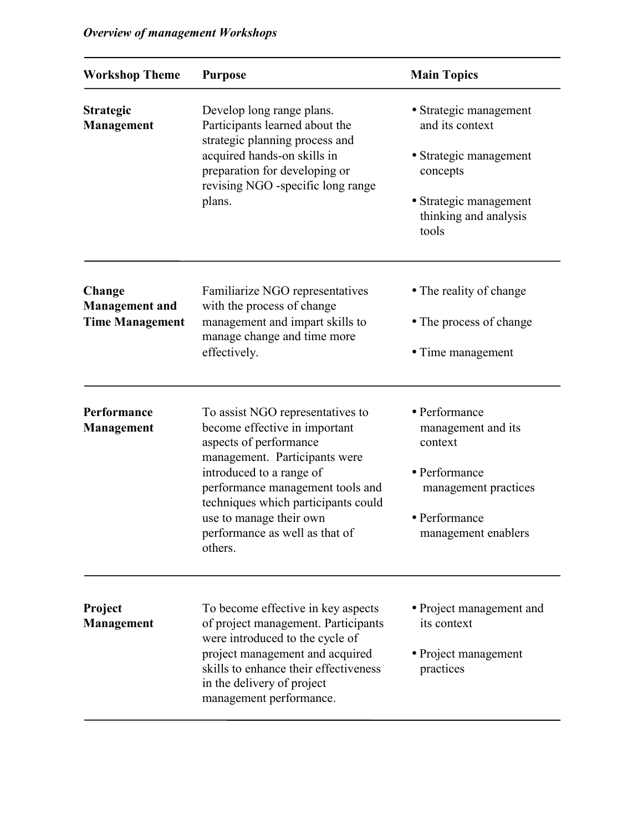| <b>Workshop Theme</b>                                     | <b>Purpose</b>                                                                                                                                                                                                                                                                                              | <b>Main Topics</b>                                                                                                                          |
|-----------------------------------------------------------|-------------------------------------------------------------------------------------------------------------------------------------------------------------------------------------------------------------------------------------------------------------------------------------------------------------|---------------------------------------------------------------------------------------------------------------------------------------------|
| <b>Strategic</b><br>Management                            | Develop long range plans.<br>Participants learned about the<br>strategic planning process and<br>acquired hands-on skills in<br>preparation for developing or<br>revising NGO -specific long range<br>plans.                                                                                                | • Strategic management<br>and its context<br>• Strategic management<br>concepts<br>• Strategic management<br>thinking and analysis<br>tools |
| Change<br><b>Management and</b><br><b>Time Management</b> | Familiarize NGO representatives<br>with the process of change<br>management and impart skills to<br>manage change and time more<br>effectively.                                                                                                                                                             | • The reality of change<br>• The process of change<br>• Time management                                                                     |
| Performance<br><b>Management</b>                          | To assist NGO representatives to<br>become effective in important<br>aspects of performance<br>management. Participants were<br>introduced to a range of<br>performance management tools and<br>techniques which participants could<br>use to manage their own<br>performance as well as that of<br>others. | • Performance<br>management and its<br>context<br>• Performance<br>management practices<br>• Performance<br>management enablers             |
| Project<br>Management                                     | To become effective in key aspects<br>of project management. Participants<br>were introduced to the cycle of<br>project management and acquired<br>skills to enhance their effectiveness<br>in the delivery of project<br>management performance.                                                           | • Project management and<br>its context<br>• Project management<br>practices                                                                |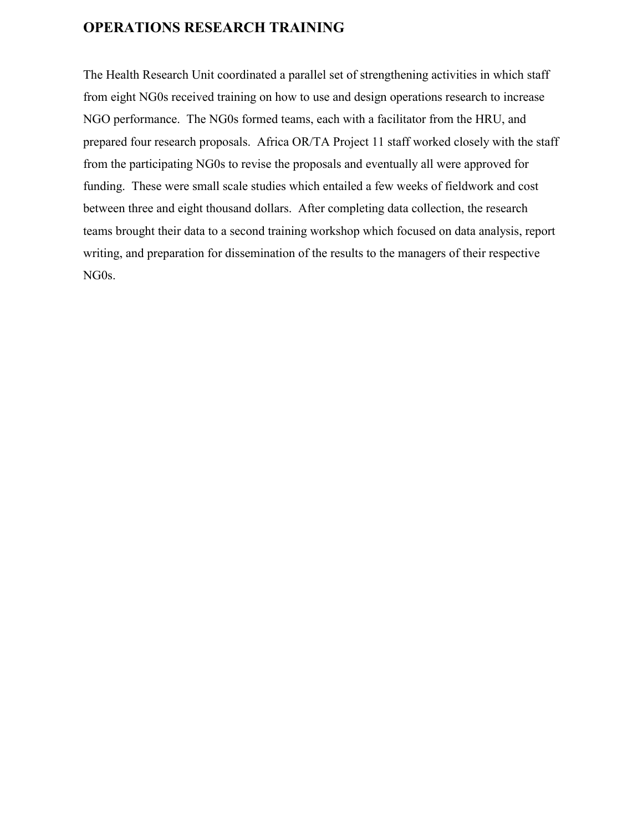## **OPERATIONS RESEARCH TRAINING**

The Health Research Unit coordinated a parallel set of strengthening activities in which staff from eight NG0s received training on how to use and design operations research to increase NGO performance. The NG0s formed teams, each with a facilitator from the HRU, and prepared four research proposals. Africa OR/TA Project 11 staff worked closely with the staff from the participating NG0s to revise the proposals and eventually all were approved for funding. These were small scale studies which entailed a few weeks of fieldwork and cost between three and eight thousand dollars. After completing data collection, the research teams brought their data to a second training workshop which focused on data analysis, report writing, and preparation for dissemination of the results to the managers of their respective NG0s.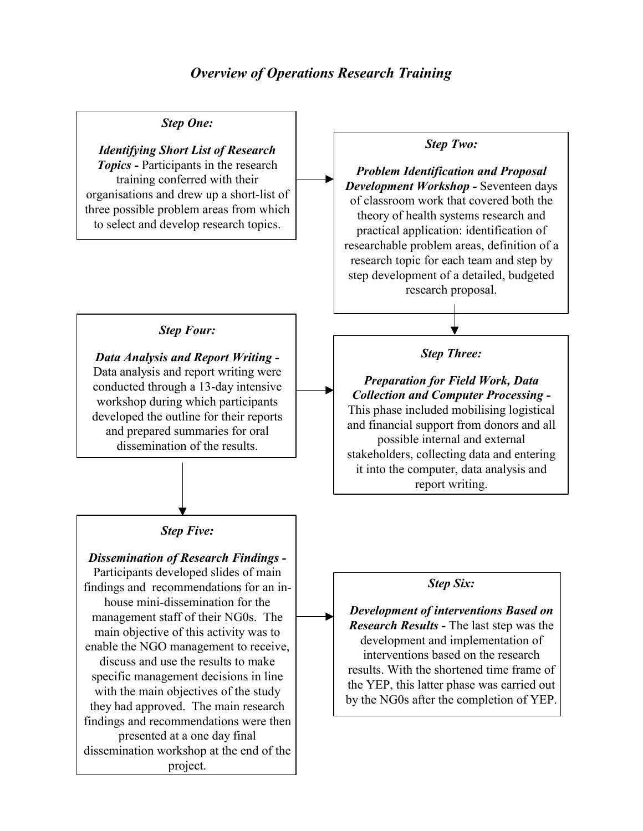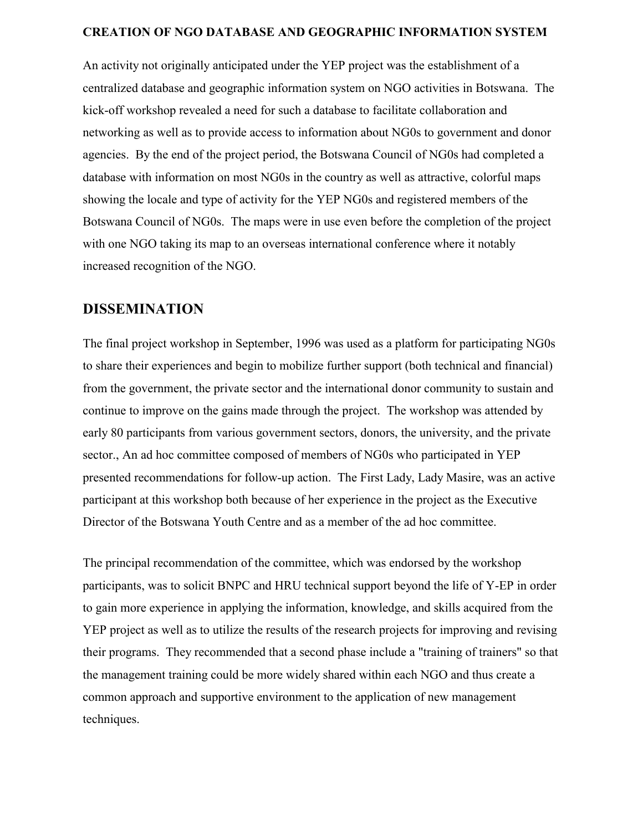#### **CREATION OF NGO DATABASE AND GEOGRAPHIC INFORMATION SYSTEM**

An activity not originally anticipated under the YEP project was the establishment of a centralized database and geographic information system on NGO activities in Botswana. The kick-off workshop revealed a need for such a database to facilitate collaboration and networking as well as to provide access to information about NG0s to government and donor agencies. By the end of the project period, the Botswana Council of NG0s had completed a database with information on most NG0s in the country as well as attractive, colorful maps showing the locale and type of activity for the YEP NG0s and registered members of the Botswana Council of NG0s. The maps were in use even before the completion of the project with one NGO taking its map to an overseas international conference where it notably increased recognition of the NGO.

#### **DISSEMINATION**

The final project workshop in September, 1996 was used as a platform for participating NG0s to share their experiences and begin to mobilize further support (both technical and financial) from the government, the private sector and the international donor community to sustain and continue to improve on the gains made through the project. The workshop was attended by early 80 participants from various government sectors, donors, the university, and the private sector., An ad hoc committee composed of members of NG0s who participated in YEP presented recommendations for follow-up action. The First Lady, Lady Masire, was an active participant at this workshop both because of her experience in the project as the Executive Director of the Botswana Youth Centre and as a member of the ad hoc committee.

The principal recommendation of the committee, which was endorsed by the workshop participants, was to solicit BNPC and HRU technical support beyond the life of Y-EP in order to gain more experience in applying the information, knowledge, and skills acquired from the YEP project as well as to utilize the results of the research projects for improving and revising their programs. They recommended that a second phase include a "training of trainers" so that the management training could be more widely shared within each NGO and thus create a common approach and supportive environment to the application of new management techniques.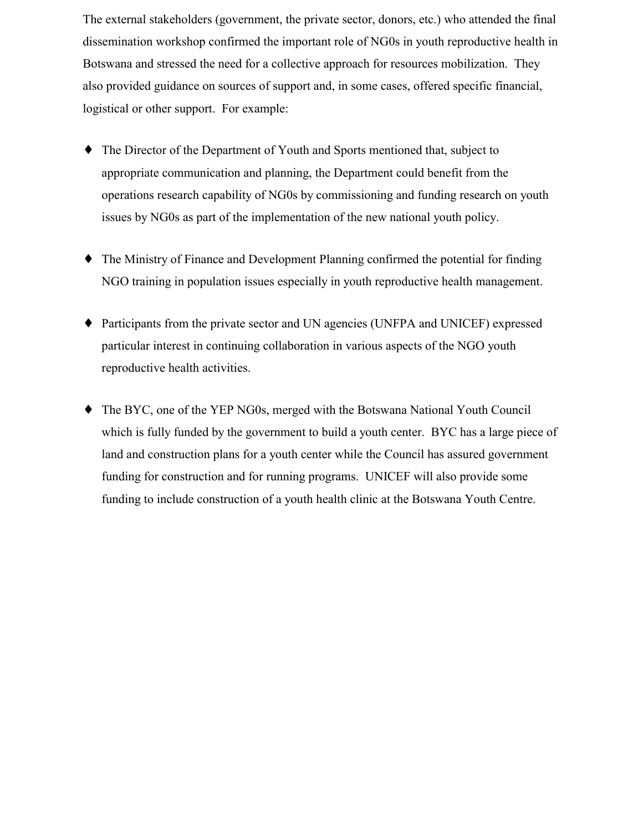The external stakeholders (government, the private sector, donors, etc.) who attended the final dissemination workshop confirmed the important role of NG0s in youth reproductive health in Botswana and stressed the need for a collective approach for resources mobilization. They also provided guidance on sources of support and, in some cases, offered specific financial, logistical or other support. For example:

- ♦ The Director of the Department of Youth and Sports mentioned that, subject to appropriate communication and planning, the Department could benefit from the operations research capability of NG0s by commissioning and funding research on youth issues by NG0s as part of the implementation of the new national youth policy.
- ♦ The Ministry of Finance and Development Planning confirmed the potential for finding NGO training in population issues especially in youth reproductive health management.
- ♦ Participants from the private sector and UN agencies (UNFPA and UNICEF) expressed particular interest in continuing collaboration in various aspects of the NGO youth reproductive health activities.
- ♦ The BYC, one of the YEP NG0s, merged with the Botswana National Youth Council which is fully funded by the government to build a youth center. BYC has a large piece of land and construction plans for a youth center while the Council has assured government funding for construction and for running programs. UNICEF will also provide some funding to include construction of a youth health clinic at the Botswana Youth Centre.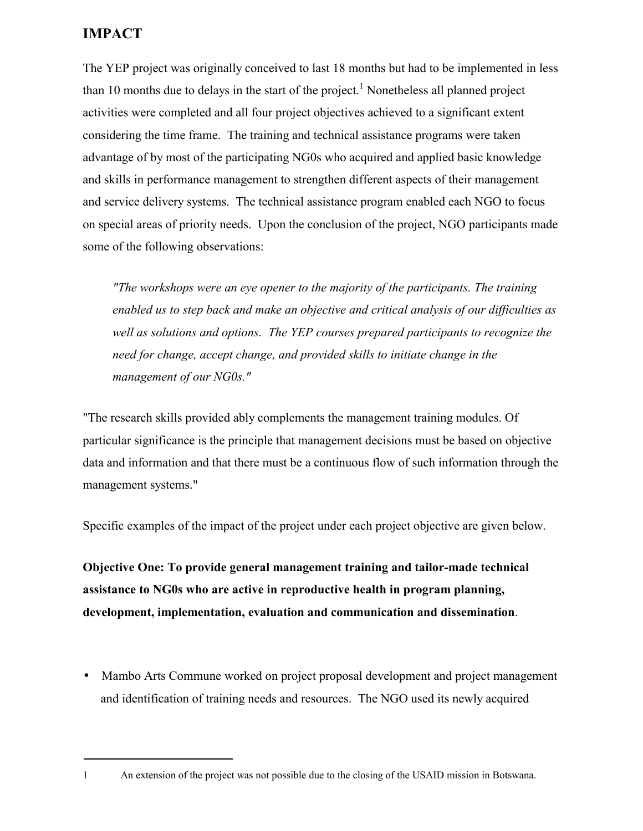## **IMPACT**

The YEP project was originally conceived to last 18 months but had to be implemented in less than 10 months due to delays in the start of the project.<sup>1</sup> Nonetheless all planned project activities were completed and all four project objectives achieved to a significant extent considering the time frame. The training and technical assistance programs were taken advantage of by most of the participating NG0s who acquired and applied basic knowledge and skills in performance management to strengthen different aspects of their management and service delivery systems. The technical assistance program enabled each NGO to focus on special areas of priority needs. Upon the conclusion of the project, NGO participants made some of the following observations:

*"The workshops were an eye opener to the majority of the participants. The training enabled us to step back and make an objective and critical analysis of our difficulties as well as solutions and options. The YEP courses prepared participants to recognize the need for change, accept change, and provided skills to initiate change in the management of our NG0s."*

"The research skills provided ably complements the management training modules. Of particular significance is the principle that management decisions must be based on objective data and information and that there must be a continuous flow of such information through the management systems."

Specific examples of the impact of the project under each project objective are given below.

**Objective One: To provide general management training and tailor-made technical assistance to NG0s who are active in reproductive health in program planning, development, implementation, evaluation and communication and dissemination**.

- Mambo Arts Commune worked on project proposal development and project management and identification of training needs and resources. The NGO used its newly acquired
- 1 An extension of the project was not possible due to the closing of the USAID mission in Botswana.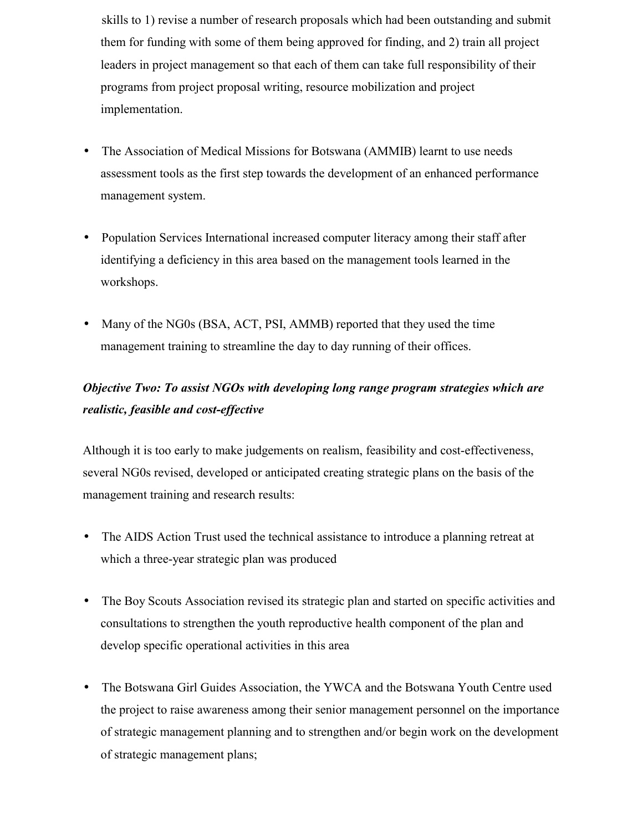skills to 1) revise a number of research proposals which had been outstanding and submit them for funding with some of them being approved for finding, and 2) train all project leaders in project management so that each of them can take full responsibility of their programs from project proposal writing, resource mobilization and project implementation.

- The Association of Medical Missions for Botswana (AMMIB) learnt to use needs assessment tools as the first step towards the development of an enhanced performance management system.
- Population Services International increased computer literacy among their staff after identifying a deficiency in this area based on the management tools learned in the workshops.
- Many of the NG0s (BSA, ACT, PSI, AMMB) reported that they used the time management training to streamline the day to day running of their offices.

## *Objective Two: To assist NGOs with developing long range program strategies which are realistic, feasible and cost-effective*

Although it is too early to make judgements on realism, feasibility and cost-effectiveness, several NG0s revised, developed or anticipated creating strategic plans on the basis of the management training and research results:

- The AIDS Action Trust used the technical assistance to introduce a planning retreat at which a three-year strategic plan was produced
- The Boy Scouts Association revised its strategic plan and started on specific activities and consultations to strengthen the youth reproductive health component of the plan and develop specific operational activities in this area
- The Botswana Girl Guides Association, the YWCA and the Botswana Youth Centre used the project to raise awareness among their senior management personnel on the importance of strategic management planning and to strengthen and/or begin work on the development of strategic management plans;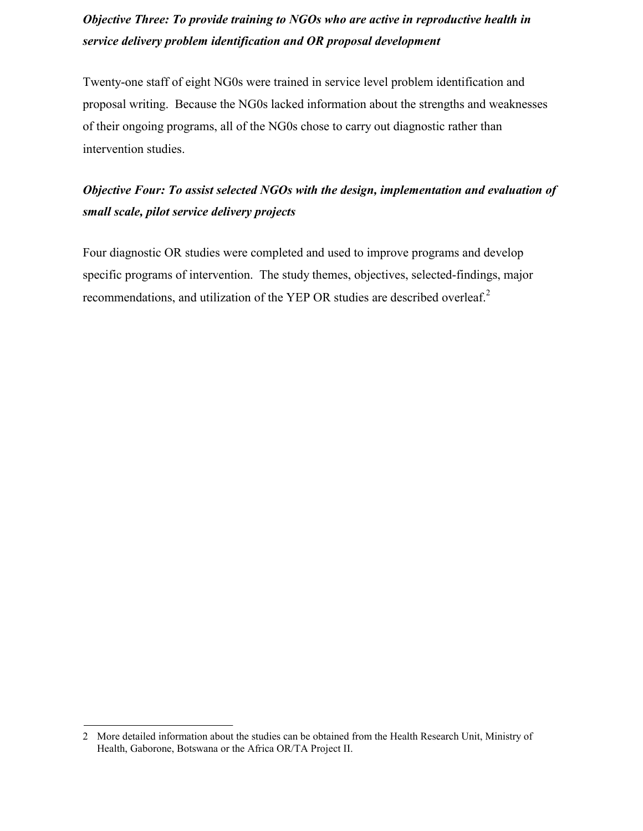## *Objective Three: To provide training to NGOs who are active in reproductive health in service delivery problem identification and OR proposal development*

Twenty-one staff of eight NG0s were trained in service level problem identification and proposal writing. Because the NG0s lacked information about the strengths and weaknesses of their ongoing programs, all of the NG0s chose to carry out diagnostic rather than intervention studies.

## *Objective Four: To assist selected NGOs with the design, implementation and evaluation of small scale, pilot service delivery projects*

Four diagnostic OR studies were completed and used to improve programs and develop specific programs of intervention. The study themes, objectives, selected-findings, major recommendations, and utilization of the YEP OR studies are described overleaf.<sup>2</sup>

<sup>2</sup> More detailed information about the studies can be obtained from the Health Research Unit, Ministry of Health, Gaborone, Botswana or the Africa OR/TA Project II.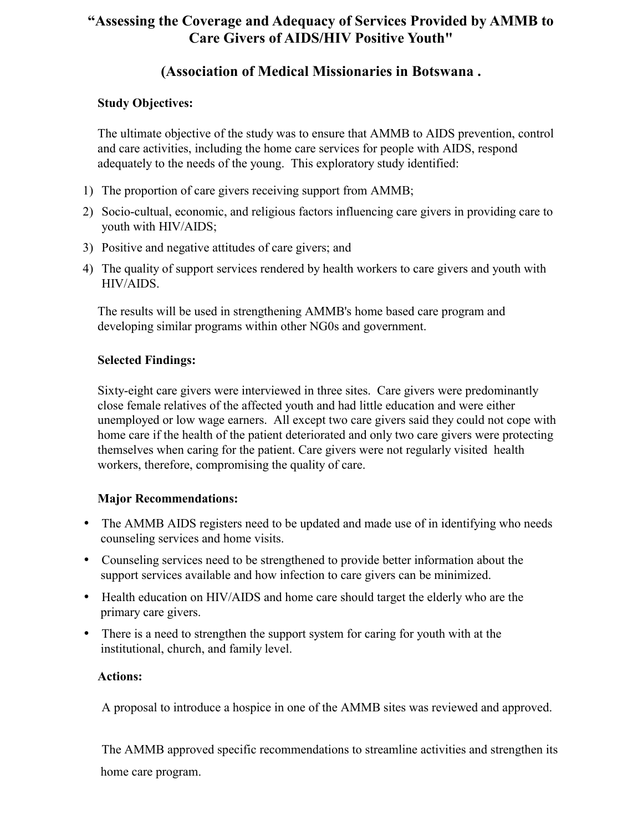## **"Assessing the Coverage and Adequacy of Services Provided by AMMB to Care Givers of AIDS/HIV Positive Youth"**

## **(Association of Medical Missionaries in Botswana .**

#### **Study Objectives:**

The ultimate objective of the study was to ensure that AMMB to AIDS prevention, control and care activities, including the home care services for people with AIDS, respond adequately to the needs of the young. This exploratory study identified:

- 1) The proportion of care givers receiving support from AMMB;
- 2) Socio-cultual, economic, and religious factors influencing care givers in providing care to youth with HIV/AIDS;
- 3) Positive and negative attitudes of care givers; and
- 4) The quality of support services rendered by health workers to care givers and youth with HIV/AIDS.

The results will be used in strengthening AMMB's home based care program and developing similar programs within other NG0s and government.

#### **Selected Findings:**

Sixty-eight care givers were interviewed in three sites. Care givers were predominantly close female relatives of the affected youth and had little education and were either unemployed or low wage earners. All except two care givers said they could not cope with home care if the health of the patient deteriorated and only two care givers were protecting themselves when caring for the patient. Care givers were not regularly visited health workers, therefore, compromising the quality of care.

#### **Major Recommendations:**

- The AMMB AIDS registers need to be updated and made use of in identifying who needs counseling services and home visits.
- Counseling services need to be strengthened to provide better information about the support services available and how infection to care givers can be minimized.
- Health education on HIV/AIDS and home care should target the elderly who are the primary care givers.
- There is a need to strengthen the support system for caring for youth with at the institutional, church, and family level.

#### **Actions:**

A proposal to introduce a hospice in one of the AMMB sites was reviewed and approved.

The AMMB approved specific recommendations to streamline activities and strengthen its home care program.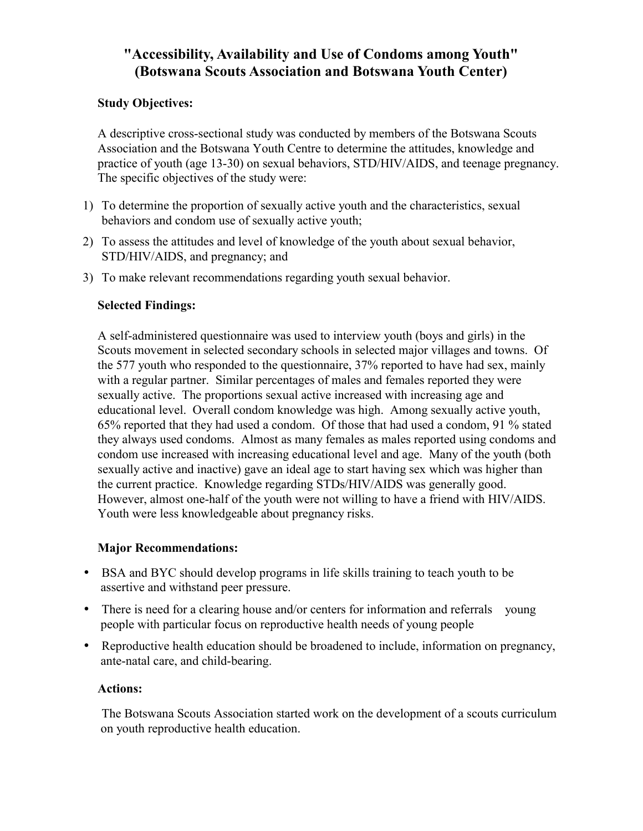## **"Accessibility, Availability and Use of Condoms among Youth" (Botswana Scouts Association and Botswana Youth Center)**

#### **Study Objectives:**

A descriptive cross-sectional study was conducted by members of the Botswana Scouts Association and the Botswana Youth Centre to determine the attitudes, knowledge and practice of youth (age 13-30) on sexual behaviors, STD/HIV/AIDS, and teenage pregnancy. The specific objectives of the study were:

- 1) To determine the proportion of sexually active youth and the characteristics, sexual behaviors and condom use of sexually active youth;
- 2) To assess the attitudes and level of knowledge of the youth about sexual behavior, STD/HIV/AIDS, and pregnancy; and
- 3) To make relevant recommendations regarding youth sexual behavior.

#### **Selected Findings:**

A self-administered questionnaire was used to interview youth (boys and girls) in the Scouts movement in selected secondary schools in selected major villages and towns. Of the 577 youth who responded to the questionnaire, 37% reported to have had sex, mainly with a regular partner. Similar percentages of males and females reported they were sexually active. The proportions sexual active increased with increasing age and educational level. Overall condom knowledge was high. Among sexually active youth, 65% reported that they had used a condom. Of those that had used a condom, 91 % stated they always used condoms. Almost as many females as males reported using condoms and condom use increased with increasing educational level and age. Many of the youth (both sexually active and inactive) gave an ideal age to start having sex which was higher than the current practice. Knowledge regarding STDs/HIV/AIDS was generally good. However, almost one-half of the youth were not willing to have a friend with HIV/AIDS. Youth were less knowledgeable about pregnancy risks.

#### **Major Recommendations:**

- BSA and BYC should develop programs in life skills training to teach youth to be assertive and withstand peer pressure.
- There is need for a clearing house and/or centers for information and referrals young people with particular focus on reproductive health needs of young people
- Reproductive health education should be broadened to include, information on pregnancy, ante-natal care, and child-bearing.

#### **Actions:**

The Botswana Scouts Association started work on the development of a scouts curriculum on youth reproductive health education.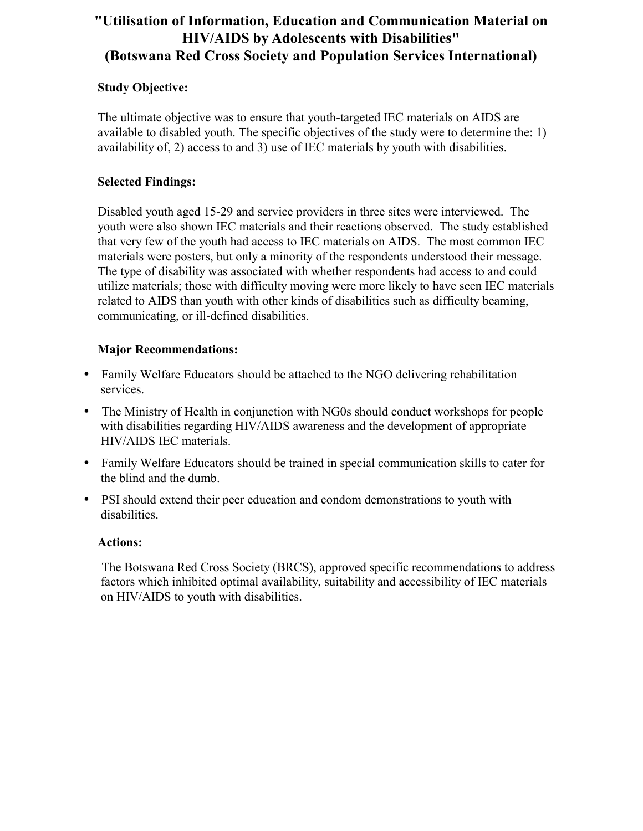## **"Utilisation of Information, Education and Communication Material on HIV/AIDS by Adolescents with Disabilities" (Botswana Red Cross Society and Population Services International)**

#### **Study Objective:**

The ultimate objective was to ensure that youth-targeted IEC materials on AIDS are available to disabled youth. The specific objectives of the study were to determine the: 1) availability of, 2) access to and 3) use of IEC materials by youth with disabilities.

#### **Selected Findings:**

Disabled youth aged 15-29 and service providers in three sites were interviewed. The youth were also shown IEC materials and their reactions observed. The study established that very few of the youth had access to IEC materials on AIDS. The most common IEC materials were posters, but only a minority of the respondents understood their message. The type of disability was associated with whether respondents had access to and could utilize materials; those with difficulty moving were more likely to have seen IEC materials related to AIDS than youth with other kinds of disabilities such as difficulty beaming, communicating, or ill-defined disabilities.

#### **Major Recommendations:**

- Family Welfare Educators should be attached to the NGO delivering rehabilitation services.
- The Ministry of Health in conjunction with NG0s should conduct workshops for people with disabilities regarding HIV/AIDS awareness and the development of appropriate HIV/AIDS IEC materials.
- Family Welfare Educators should be trained in special communication skills to cater for the blind and the dumb.
- PSI should extend their peer education and condom demonstrations to youth with disabilities.

#### **Actions:**

The Botswana Red Cross Society (BRCS), approved specific recommendations to address factors which inhibited optimal availability, suitability and accessibility of IEC materials on HIV/AIDS to youth with disabilities.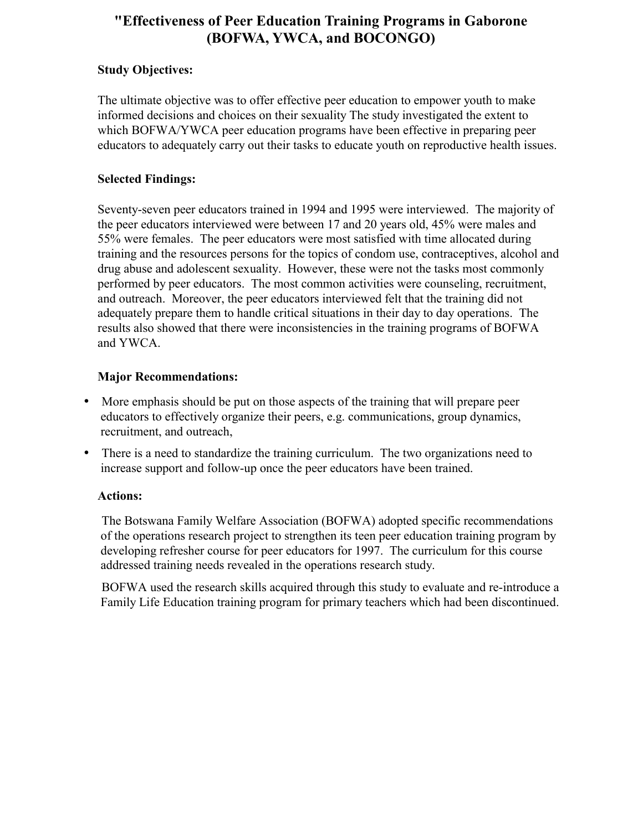## **"Effectiveness of Peer Education Training Programs in Gaborone (BOFWA, YWCA, and BOCONGO)**

#### **Study Objectives:**

The ultimate objective was to offer effective peer education to empower youth to make informed decisions and choices on their sexuality The study investigated the extent to which BOFWA/YWCA peer education programs have been effective in preparing peer educators to adequately carry out their tasks to educate youth on reproductive health issues.

#### **Selected Findings:**

Seventy-seven peer educators trained in 1994 and 1995 were interviewed. The majority of the peer educators interviewed were between 17 and 20 years old, 45% were males and 55% were females. The peer educators were most satisfied with time allocated during training and the resources persons for the topics of condom use, contraceptives, alcohol and drug abuse and adolescent sexuality. However, these were not the tasks most commonly performed by peer educators. The most common activities were counseling, recruitment, and outreach. Moreover, the peer educators interviewed felt that the training did not adequately prepare them to handle critical situations in their day to day operations. The results also showed that there were inconsistencies in the training programs of BOFWA and YWCA.

#### **Major Recommendations:**

- More emphasis should be put on those aspects of the training that will prepare peer educators to effectively organize their peers, e.g. communications, group dynamics, recruitment, and outreach,
- There is a need to standardize the training curriculum. The two organizations need to increase support and follow-up once the peer educators have been trained.

#### **Actions:**

The Botswana Family Welfare Association (BOFWA) adopted specific recommendations of the operations research project to strengthen its teen peer education training program by developing refresher course for peer educators for 1997. The curriculum for this course addressed training needs revealed in the operations research study.

BOFWA used the research skills acquired through this study to evaluate and re-introduce a Family Life Education training program for primary teachers which had been discontinued.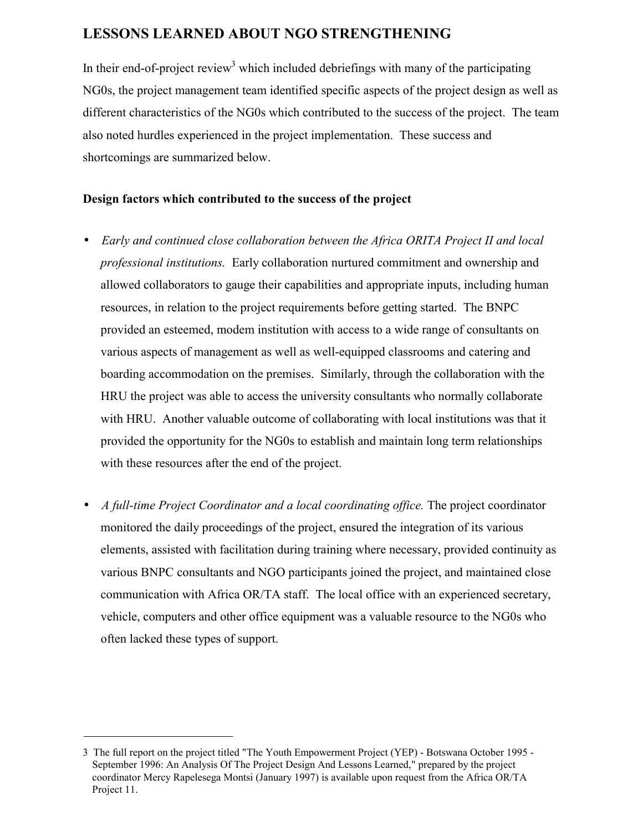## **LESSONS LEARNED ABOUT NGO STRENGTHENING**

In their end-of-project review<sup>3</sup> which included debriefings with many of the participating NG0s, the project management team identified specific aspects of the project design as well as different characteristics of the NG0s which contributed to the success of the project. The team also noted hurdles experienced in the project implementation. These success and shortcomings are summarized below.

#### **Design factors which contributed to the success of the project**

- *Early and continued close collaboration between the Africa ORITA Project II and local professional institutions.* Early collaboration nurtured commitment and ownership and allowed collaborators to gauge their capabilities and appropriate inputs, including human resources, in relation to the project requirements before getting started. The BNPC provided an esteemed, modem institution with access to a wide range of consultants on various aspects of management as well as well-equipped classrooms and catering and boarding accommodation on the premises. Similarly, through the collaboration with the HRU the project was able to access the university consultants who normally collaborate with HRU. Another valuable outcome of collaborating with local institutions was that it provided the opportunity for the NG0s to establish and maintain long term relationships with these resources after the end of the project.
- *A full-time Project Coordinator and a local coordinating office.* The project coordinator monitored the daily proceedings of the project, ensured the integration of its various elements, assisted with facilitation during training where necessary, provided continuity as various BNPC consultants and NGO participants joined the project, and maintained close communication with Africa OR/TA staff. The local office with an experienced secretary, vehicle, computers and other office equipment was a valuable resource to the NG0s who often lacked these types of support.

<sup>3</sup> The full report on the project titled "The Youth Empowerment Project (YEP) - Botswana October 1995 - September 1996: An Analysis Of The Project Design And Lessons Learned," prepared by the project coordinator Mercy Rapelesega Montsi (January 1997) is available upon request from the Africa OR/TA Project 11.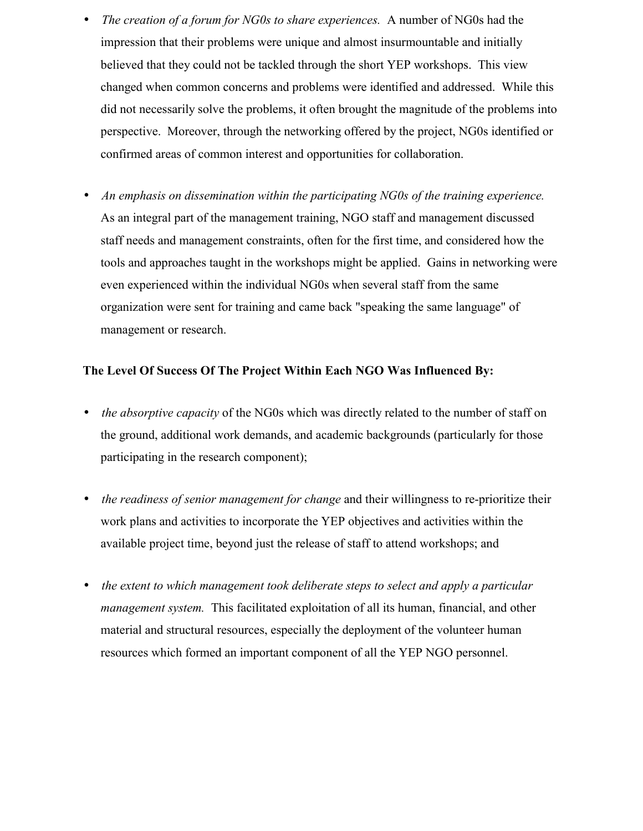- *The creation of a forum for NG0s to share experiences.* A number of NG0s had the impression that their problems were unique and almost insurmountable and initially believed that they could not be tackled through the short YEP workshops. This view changed when common concerns and problems were identified and addressed. While this did not necessarily solve the problems, it often brought the magnitude of the problems into perspective. Moreover, through the networking offered by the project, NG0s identified or confirmed areas of common interest and opportunities for collaboration.
- *An emphasis on dissemination within the participating NG0s of the training experience.* As an integral part of the management training, NGO staff and management discussed staff needs and management constraints, often for the first time, and considered how the tools and approaches taught in the workshops might be applied. Gains in networking were even experienced within the individual NG0s when several staff from the same organization were sent for training and came back "speaking the same language" of management or research.

#### **The Level Of Success Of The Project Within Each NGO Was Influenced By:**

- *the absorptive capacity* of the NG0s which was directly related to the number of staff on the ground, additional work demands, and academic backgrounds (particularly for those participating in the research component);
- *the readiness of senior management for change* and their willingness to re-prioritize their work plans and activities to incorporate the YEP objectives and activities within the available project time, beyond just the release of staff to attend workshops; and
- *the extent to which management took deliberate steps to select and apply a particular management system.* This facilitated exploitation of all its human, financial, and other material and structural resources, especially the deployment of the volunteer human resources which formed an important component of all the YEP NGO personnel.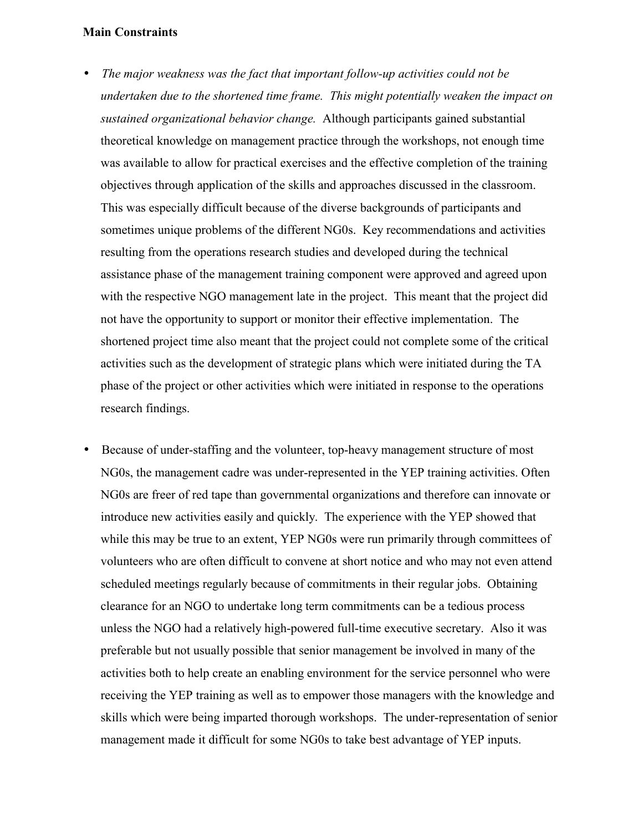#### **Main Constraints**

- *The major weakness was the fact that important follow-up activities could not be undertaken due to the shortened time frame. This might potentially weaken the impact on sustained organizational behavior change.* Although participants gained substantial theoretical knowledge on management practice through the workshops, not enough time was available to allow for practical exercises and the effective completion of the training objectives through application of the skills and approaches discussed in the classroom. This was especially difficult because of the diverse backgrounds of participants and sometimes unique problems of the different NG0s. Key recommendations and activities resulting from the operations research studies and developed during the technical assistance phase of the management training component were approved and agreed upon with the respective NGO management late in the project. This meant that the project did not have the opportunity to support or monitor their effective implementation. The shortened project time also meant that the project could not complete some of the critical activities such as the development of strategic plans which were initiated during the TA phase of the project or other activities which were initiated in response to the operations research findings.
- Because of under-staffing and the volunteer, top-heavy management structure of most NG0s, the management cadre was under-represented in the YEP training activities. Often NG0s are freer of red tape than governmental organizations and therefore can innovate or introduce new activities easily and quickly. The experience with the YEP showed that while this may be true to an extent, YEP NG0s were run primarily through committees of volunteers who are often difficult to convene at short notice and who may not even attend scheduled meetings regularly because of commitments in their regular jobs. Obtaining clearance for an NGO to undertake long term commitments can be a tedious process unless the NGO had a relatively high-powered full-time executive secretary. Also it was preferable but not usually possible that senior management be involved in many of the activities both to help create an enabling environment for the service personnel who were receiving the YEP training as well as to empower those managers with the knowledge and skills which were being imparted thorough workshops. The under-representation of senior management made it difficult for some NG0s to take best advantage of YEP inputs.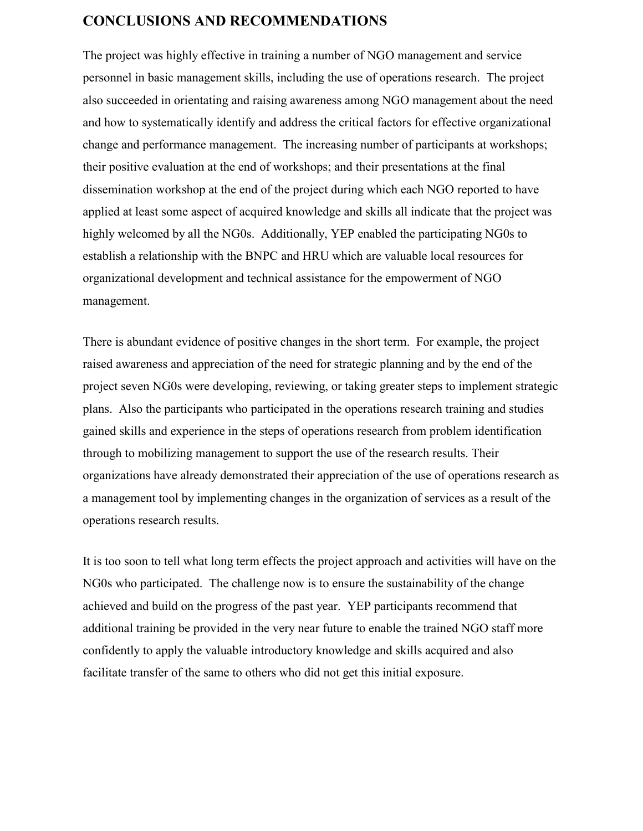#### **CONCLUSIONS AND RECOMMENDATIONS**

The project was highly effective in training a number of NGO management and service personnel in basic management skills, including the use of operations research. The project also succeeded in orientating and raising awareness among NGO management about the need and how to systematically identify and address the critical factors for effective organizational change and performance management. The increasing number of participants at workshops; their positive evaluation at the end of workshops; and their presentations at the final dissemination workshop at the end of the project during which each NGO reported to have applied at least some aspect of acquired knowledge and skills all indicate that the project was highly welcomed by all the NG0s. Additionally, YEP enabled the participating NG0s to establish a relationship with the BNPC and HRU which are valuable local resources for organizational development and technical assistance for the empowerment of NGO management.

There is abundant evidence of positive changes in the short term. For example, the project raised awareness and appreciation of the need for strategic planning and by the end of the project seven NG0s were developing, reviewing, or taking greater steps to implement strategic plans. Also the participants who participated in the operations research training and studies gained skills and experience in the steps of operations research from problem identification through to mobilizing management to support the use of the research results. Their organizations have already demonstrated their appreciation of the use of operations research as a management tool by implementing changes in the organization of services as a result of the operations research results.

It is too soon to tell what long term effects the project approach and activities will have on the NG0s who participated. The challenge now is to ensure the sustainability of the change achieved and build on the progress of the past year. YEP participants recommend that additional training be provided in the very near future to enable the trained NGO staff more confidently to apply the valuable introductory knowledge and skills acquired and also facilitate transfer of the same to others who did not get this initial exposure.